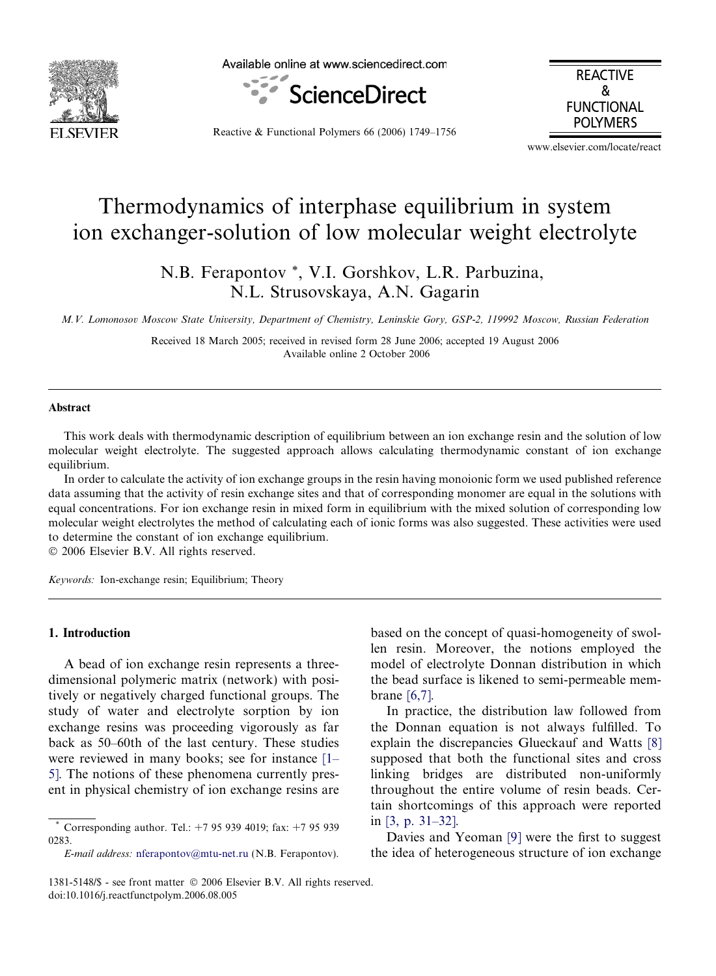

Available online at www.sciencedirect.com



REACTIVE & FUNCTIONAL POLYMERS

Reactive & Functional Polymers 66 (2006) 1749–1756

www.elsevier.com/locate/react

# Thermodynamics of interphase equilibrium in system ion exchanger-solution of low molecular weight electrolyte

N.B. Ferapontov \*, V.I. Gorshkov, L.R. Parbuzina, N.L. Strusovskaya, A.N. Gagarin

M.V. Lomonosov Moscow State University, Department of Chemistry, Leninskie Gory, GSP-2, 119992 Moscow, Russian Federation

Received 18 March 2005; received in revised form 28 June 2006; accepted 19 August 2006 Available online 2 October 2006

#### Abstract

This work deals with thermodynamic description of equilibrium between an ion exchange resin and the solution of low molecular weight electrolyte. The suggested approach allows calculating thermodynamic constant of ion exchange equilibrium.

In order to calculate the activity of ion exchange groups in the resin having monoionic form we used published reference data assuming that the activity of resin exchange sites and that of corresponding monomer are equal in the solutions with equal concentrations. For ion exchange resin in mixed form in equilibrium with the mixed solution of corresponding low molecular weight electrolytes the method of calculating each of ionic forms was also suggested. These activities were used to determine the constant of ion exchange equilibrium.

© 2006 Elsevier B.V. All rights reserved.

Keywords: Ion-exchange resin; Equilibrium; Theory

### 1. Introduction

A bead of ion exchange resin represents a threedimensional polymeric matrix (network) with positively or negatively charged functional groups. The study of water and electrolyte sorption by ion exchange resins was proceeding vigorously as far back as 50–60th of the last century. These studies were reviewed in many books; see for instance [\[1–](#page-6-0) [5\].](#page-6-0) The notions of these phenomena currently present in physical chemistry of ion exchange resins are based on the concept of quasi-homogeneity of swollen resin. Moreover, the notions employed the model of electrolyte Donnan distribution in which the bead surface is likened to semi-permeable membrane [\[6,7\].](#page-6-0)

In practice, the distribution law followed from the Donnan equation is not always fulfilled. To explain the discrepancies Glueckauf and Watts [\[8\]](#page-6-0) supposed that both the functional sites and cross linking bridges are distributed non-uniformly throughout the entire volume of resin beads. Certain shortcomings of this approach were reported in [\[3, p. 31–32\]](#page-6-0).

Davies and Yeoman [\[9\]](#page-7-0) were the first to suggest the idea of heterogeneous structure of ion exchange

Corresponding author. Tel.: +7 95 939 4019; fax: +7 95 939 0283.

E-mail address: [nferapontov@mtu-net.ru](mailto:nferapontov@mtu-net.ru) (N.B. Ferapontov).

<sup>1381-5148/\$ -</sup> see front matter © 2006 Elsevier B.V. All rights reserved. doi:10.1016/j.reactfunctpolym.2006.08.005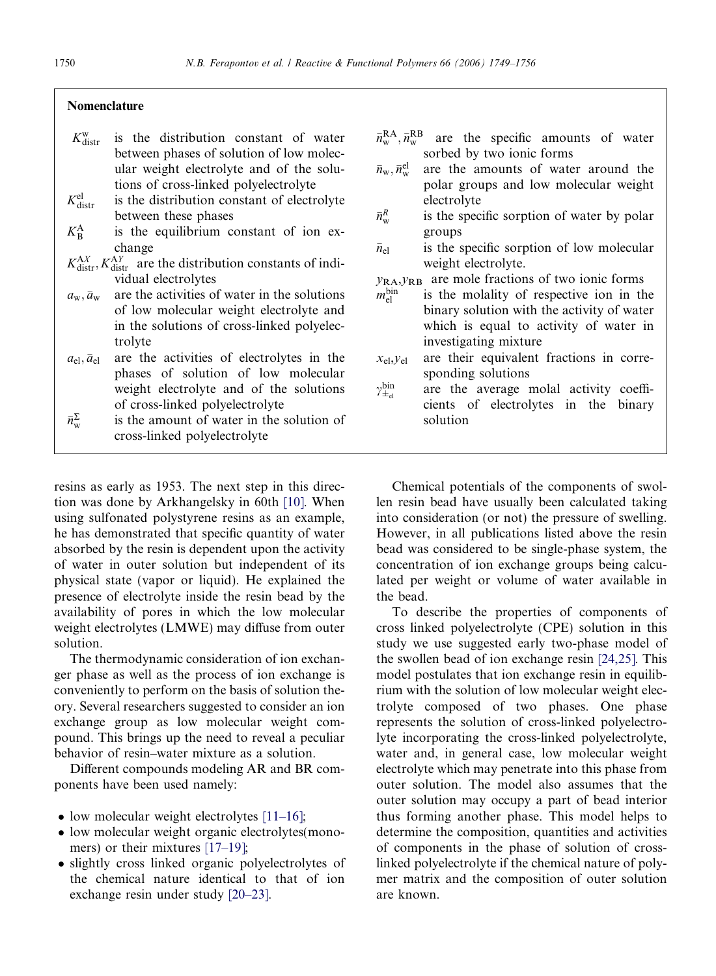### Nomenclature

- $K_{\text{distr}}^{\text{w}}$ is the distribution constant of water between phases of solution of low molecular weight electrolyte and of the solutions of cross-linked polyelectrolyte
- $K_{\text{distr}}^{\text{el}}$ is the distribution constant of electrolyte between these phases
- $K_{\rm R}^{\rm A}$ is the equilibrium constant of ion exchange
- $K_{\text{distr}}^{\text{AX}}$ ,  $K_{\text{distr}}^{\text{AY}}$  are the distribution constants of individual electrolytes
- $a_{\rm w}, \bar{a}_{\rm w}$ are the activities of water in the solutions of low molecular weight electrolyte and in the solutions of cross-linked polyelectrolyte
- $a_{el}, \bar{a}_{el}$ are the activities of electrolytes in the phases of solution of low molecular weight electrolyte and of the solutions of cross-linked polyelectrolyte
- $\bar{n}^{\Sigma}_{\mathrm{w}}$ is the amount of water in the solution of cross-linked polyelectrolyte
- $\bar{n}_{\mathrm{w}}^{\mathrm{RA}}, \bar{n}_{\mathrm{w}}^{\mathrm{RB}}$ are the specific amounts of water sorbed by two ionic forms
- $\bar{n}_{\mathrm{w}},\bar{n}_{\mathrm{w}}^{\mathrm{el}}$ are the amounts of water around the polar groups and low molecular weight electrolyte
- $\bar{n}^R_{\mathrm{w}}$ is the specific sorption of water by polar groups
- $\bar{n}_{\rm el}$ is the specific sorption of low molecular weight electrolyte.
- $y_{\text{RA}}$ ,  $y_{\text{RB}}$  are mole fractions of two ionic forms
- $m_{\rm el}^{\rm bin}$ is the molality of respective ion in the binary solution with the activity of water which is equal to activity of water in investigating mixture
- $x_{el}$ ,  $y_{el}$  are their equivalent fractions in corresponding solutions
- $\gamma_{\pm_{\rm el}}^{\rm bin}$ are the average molal activity coefficients of electrolytes in the binary solution

resins as early as 1953. The next step in this direction was done by Arkhangelsky in 60th [\[10\]](#page-7-0). When using sulfonated polystyrene resins as an example, he has demonstrated that specific quantity of water absorbed by the resin is dependent upon the activity of water in outer solution but independent of its physical state (vapor or liquid). He explained the presence of electrolyte inside the resin bead by the availability of pores in which the low molecular weight electrolytes (LMWE) may diffuse from outer solution.

The thermodynamic consideration of ion exchanger phase as well as the process of ion exchange is conveniently to perform on the basis of solution theory. Several researchers suggested to consider an ion exchange group as low molecular weight compound. This brings up the need to reveal a peculiar behavior of resin–water mixture as a solution.

Different compounds modeling AR and BR components have been used namely:

- low molecular weight electrolytes [\[11–16\]](#page-7-0);
- low molecular weight organic electrolytes(mono-mers) or their mixtures [\[17–19\]](#page-7-0);
- slightly cross linked organic polyelectrolytes of the chemical nature identical to that of ion exchange resin under study [\[20–23\]](#page-7-0).

Chemical potentials of the components of swollen resin bead have usually been calculated taking into consideration (or not) the pressure of swelling. However, in all publications listed above the resin bead was considered to be single-phase system, the concentration of ion exchange groups being calculated per weight or volume of water available in the bead.

To describe the properties of components of cross linked polyelectrolyte (CPE) solution in this study we use suggested early two-phase model of the swollen bead of ion exchange resin [\[24,25\].](#page-7-0) This model postulates that ion exchange resin in equilibrium with the solution of low molecular weight electrolyte composed of two phases. One phase represents the solution of cross-linked polyelectrolyte incorporating the cross-linked polyelectrolyte, water and, in general case, low molecular weight electrolyte which may penetrate into this phase from outer solution. The model also assumes that the outer solution may occupy a part of bead interior thus forming another phase. This model helps to determine the composition, quantities and activities of components in the phase of solution of crosslinked polyelectrolyte if the chemical nature of polymer matrix and the composition of outer solution are known.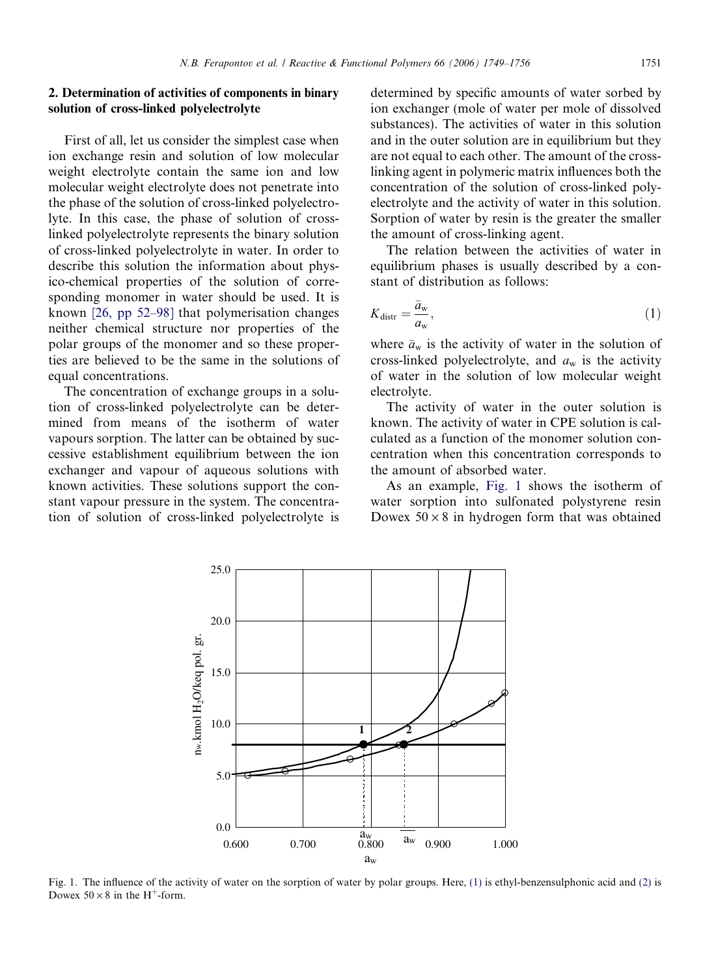#### <span id="page-2-0"></span>2. Determination of activities of components in binary solution of cross-linked polyelectrolyte

First of all, let us consider the simplest case when ion exchange resin and solution of low molecular weight electrolyte contain the same ion and low molecular weight electrolyte does not penetrate into the phase of the solution of cross-linked polyelectrolyte. In this case, the phase of solution of crosslinked polyelectrolyte represents the binary solution of cross-linked polyelectrolyte in water. In order to describe this solution the information about physico-chemical properties of the solution of corresponding monomer in water should be used. It is known [\[26, pp 52–98\]](#page-7-0) that polymerisation changes neither chemical structure nor properties of the polar groups of the monomer and so these properties are believed to be the same in the solutions of equal concentrations.

The concentration of exchange groups in a solution of cross-linked polyelectrolyte can be determined from means of the isotherm of water vapours sorption. The latter can be obtained by successive establishment equilibrium between the ion exchanger and vapour of aqueous solutions with known activities. These solutions support the constant vapour pressure in the system. The concentration of solution of cross-linked polyelectrolyte is

determined by specific amounts of water sorbed by ion exchanger (mole of water per mole of dissolved substances). The activities of water in this solution and in the outer solution are in equilibrium but they are not equal to each other. The amount of the crosslinking agent in polymeric matrix influences both the concentration of the solution of cross-linked polyelectrolyte and the activity of water in this solution. Sorption of water by resin is the greater the smaller the amount of cross-linking agent.

The relation between the activities of water in equilibrium phases is usually described by a constant of distribution as follows:

$$
K_{\text{distr}} = \frac{\bar{a}_{\text{w}}}{a_{\text{w}}},\tag{1}
$$

where  $\bar{a}_{w}$  is the activity of water in the solution of cross-linked polyelectrolyte, and  $a_w$  is the activity of water in the solution of low molecular weight electrolyte.

The activity of water in the outer solution is known. The activity of water in CPE solution is calculated as a function of the monomer solution concentration when this concentration corresponds to the amount of absorbed water.

As an example, Fig. 1 shows the isotherm of water sorption into sulfonated polystyrene resin Dowex  $50 \times 8$  in hydrogen form that was obtained



Fig. 1. The influence of the activity of water on the sorption of water by polar groups. Here, (1) is ethyl-benzensulphonic acid and [\(2\)](#page-3-0) is Dowex  $50 \times 8$  in the H<sup>+</sup>-form.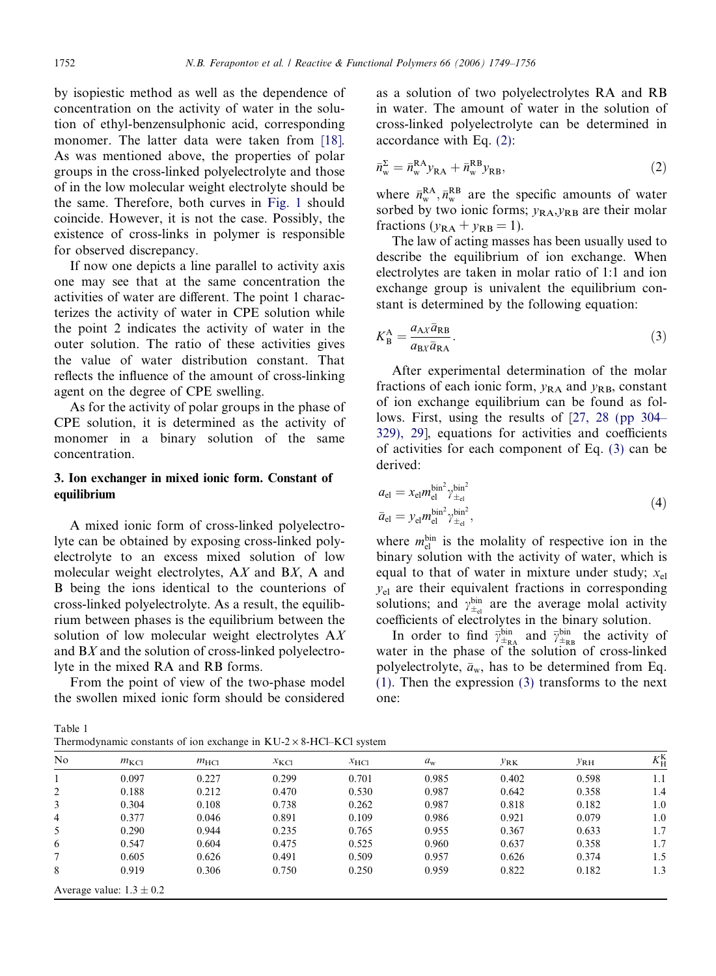<span id="page-3-0"></span>by isopiestic method as well as the dependence of concentration on the activity of water in the solution of ethyl-benzensulphonic acid, corresponding monomer. The latter data were taken from [\[18\].](#page-7-0) As was mentioned above, the properties of polar groups in the cross-linked polyelectrolyte and those of in the low molecular weight electrolyte should be the same. Therefore, both curves in [Fig. 1](#page-2-0) should coincide. However, it is not the case. Possibly, the existence of cross-links in polymer is responsible for observed discrepancy.

If now one depicts a line parallel to activity axis one may see that at the same concentration the activities of water are different. The point 1 characterizes the activity of water in CPE solution while the point 2 indicates the activity of water in the outer solution. The ratio of these activities gives the value of water distribution constant. That reflects the influence of the amount of cross-linking agent on the degree of CPE swelling.

As for the activity of polar groups in the phase of CPE solution, it is determined as the activity of monomer in a binary solution of the same concentration.

## 3. Ion exchanger in mixed ionic form. Constant of equilibrium

A mixed ionic form of cross-linked polyelectrolyte can be obtained by exposing cross-linked polyelectrolyte to an excess mixed solution of low molecular weight electrolytes, AX and BX, A and B being the ions identical to the counterions of cross-linked polyelectrolyte. As a result, the equilibrium between phases is the equilibrium between the solution of low molecular weight electrolytes AX and BX and the solution of cross-linked polyelectrolyte in the mixed RA and RB forms.

From the point of view of the two-phase model the swollen mixed ionic form should be considered

Table 1

as a solution of two polyelectrolytes RA and RB in water. The amount of water in the solution of cross-linked polyelectrolyte can be determined in accordance with Eq. (2):

$$
\bar{n}_{\rm w}^{\Sigma} = \bar{n}_{\rm w}^{\rm RA} y_{\rm RA} + \bar{n}_{\rm w}^{\rm RB} y_{\rm RB},\tag{2}
$$

where  $\bar{n}_{\rm w}^{\rm RA}$ ,  $\bar{n}_{\rm w}^{\rm RB}$  are the specific amounts of water sorbed by two ionic forms;  $y_{\text{RA}}$ ,  $y_{\text{RB}}$  are their molar fractions  $(y_{\text{RA}} + y_{\text{RB}} = 1)$ .

The law of acting masses has been usually used to describe the equilibrium of ion exchange. When electrolytes are taken in molar ratio of 1:1 and ion exchange group is univalent the equilibrium constant is determined by the following equation:

$$
K_{\rm B}^{\rm A} = \frac{a_{\rm A} \bar{a}_{\rm R} a_{\rm R} \bar{a}_{\rm R} a}{a_{\rm B} \bar{a}_{\rm R} a}.
$$
\n(3)

After experimental determination of the molar fractions of each ionic form,  $y_{RA}$  and  $y_{RB}$ , constant of ion exchange equilibrium can be found as follows. First, using the results of [[27, 28 \(pp 304–](#page-7-0) [329\), 29](#page-7-0)], equations for activities and coefficients of activities for each component of Eq. (3) can be derived:

$$
a_{\rm el} = x_{\rm el} m_{\rm el}^{\rm bin^2} \gamma_{\pm_{\rm el}}^{\rm bin^2}
$$
  
\n
$$
\bar{a}_{\rm el} = y_{\rm el} m_{\rm el}^{\rm bin^2} \gamma_{\pm_{\rm el}}^{\rm bin^2},
$$
\n(4)

where  $m_{el}^{bin}$  is the molality of respective ion in the binary solution with the activity of water, which is equal to that of water in mixture under study;  $x_{el}$  $y_{el}$  are their equivalent fractions in corresponding solutions; and  $\gamma_{\pm_{el}}^{bin}$  are the average molal activity coefficients of electrolytes in the binary solution.

In order to find  $\bar{\gamma}_{\pm_{\rm RA}}^{\rm bin}$  and  $\bar{\gamma}_{\pm_{\rm RB}}^{\rm bin}$  the activity of water in the phase of the solution of cross-linked polyelectrolyte,  $\bar{a}_{w}$ , has to be determined from Eq. [\(1\).](#page-2-0) Then the expression (3) transforms to the next one:

| No | $m_{\text{KCl}}$             | $m_{\text{HC}}$ | $x_{\text{KCl}}$ | $x_{\text{HC1}}$ | $a_{\rm w}$ | $y_{\rm RK}$ | $y_{RH}$ | $K_{\rm H}^{\rm K}$ |
|----|------------------------------|-----------------|------------------|------------------|-------------|--------------|----------|---------------------|
|    | 0.097                        | 0.227           | 0.299            | 0.701            | 0.985       | 0.402        | 0.598    | 1.1                 |
| 2  | 0.188                        | 0.212           | 0.470            | 0.530            | 0.987       | 0.642        | 0.358    | 1.4                 |
| 3  | 0.304                        | 0.108           | 0.738            | 0.262            | 0.987       | 0.818        | 0.182    | 1.0                 |
| 4  | 0.377                        | 0.046           | 0.891            | 0.109            | 0.986       | 0.921        | 0.079    | 1.0                 |
| 5  | 0.290                        | 0.944           | 0.235            | 0.765            | 0.955       | 0.367        | 0.633    | 1.7                 |
| 6  | 0.547                        | 0.604           | 0.475            | 0.525            | 0.960       | 0.637        | 0.358    | 1.7                 |
| 7  | 0.605                        | 0.626           | 0.491            | 0.509            | 0.957       | 0.626        | 0.374    | 1.5                 |
| 8  | 0.919                        | 0.306           | 0.750            | 0.250            | 0.959       | 0.822        | 0.182    | 1.3                 |
|    | Average value: $1.3 \pm 0.2$ |                 |                  |                  |             |              |          |                     |

Thermodynamic constants of ion exchange in  $KU-2 \times 8-HCl-KCl$  system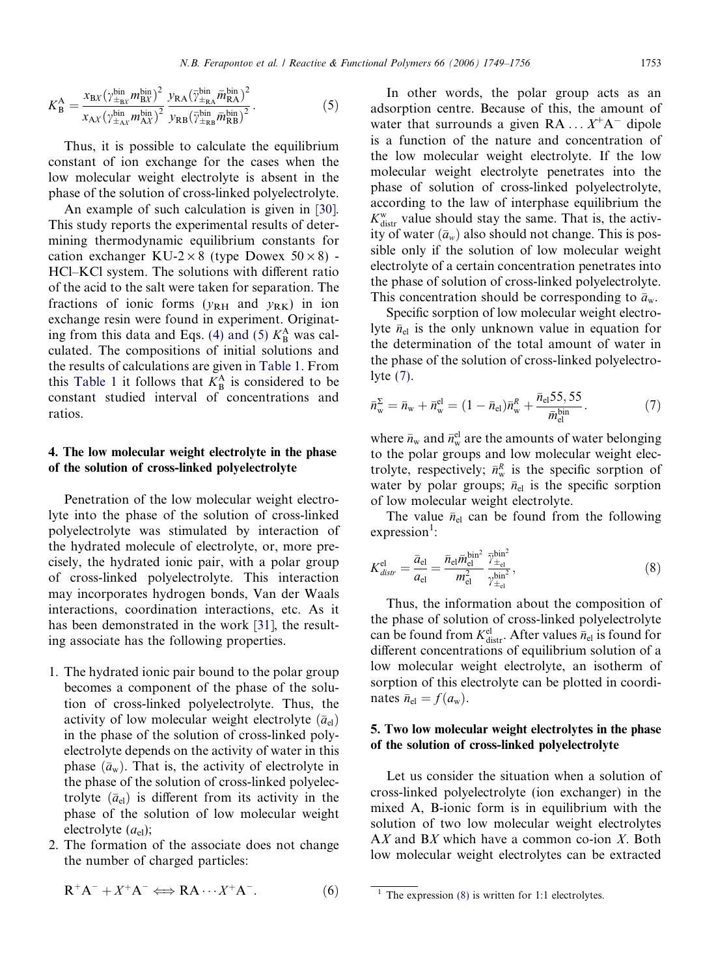<span id="page-4-0"></span>
$$
K_{\rm B}^{\rm A} = \frac{x_{\rm BX} (\gamma_{\pm_{\rm BX}}^{\rm bin} m_{\rm BX}^{\rm bin})^2}{x_{\rm AX} (\gamma_{\pm_{\rm AX}}^{\rm bin} m_{\rm AX}^{\rm bin})^2} \frac{y_{\rm RA} (\overline{\gamma}_{\pm_{\rm RA}}^{\rm bin} \overline{m}_{\rm RA}^{\rm bin})^2}{y_{\rm RB} (\overline{\gamma}_{\pm_{\rm RB}}^{\rm bin} \overline{m}_{\rm RB}^{\rm bin})^2}.
$$
 (5)

Thus, it is possible to calculate the equilibrium constant of ion exchange for the cases when the low molecular weight electrolyte is absent in the phase of the solution of cross-linked polyelectrolyte.

An example of such calculation is given in [\[30\]](#page-7-0). This study reports the experimental results of determining thermodynamic equilibrium constants for cation exchanger KU-2  $\times$  8 (type Dowex 50  $\times$  8) -HCl–KCl system. The solutions with different ratio of the acid to the salt were taken for separation. The fractions of ionic forms  $(y_{RH}$  and  $y_{RK})$  in ion exchange resin were found in experiment. Originat-ing from this data and Eqs. [\(4\) and \(5\)](#page-3-0)  $K^A_B$  was calculated. The compositions of initial solutions and the results of calculations are given in [Table 1.](#page-3-0) From this [Table 1](#page-3-0) it follows that  $K^A_B$  is considered to be constant studied interval of concentrations and ratios.

#### 4. The low molecular weight electrolyte in the phase of the solution of cross-linked polyelectrolyte

Penetration of the low molecular weight electrolyte into the phase of the solution of cross-linked polyelectrolyte was stimulated by interaction of the hydrated molecule of electrolyte, or, more precisely, the hydrated ionic pair, with a polar group of cross-linked polyelectrolyte. This interaction may incorporates hydrogen bonds, Van der Waals interactions, coordination interactions, etc. As it has been demonstrated in the work [\[31\]](#page-7-0), the resulting associate has the following properties.

- 1. The hydrated ionic pair bound to the polar group becomes a component of the phase of the solution of cross-linked polyelectrolyte. Thus, the activity of low molecular weight electrolyte  $(\bar{a}_{el})$ in the phase of the solution of cross-linked polyelectrolyte depends on the activity of water in this phase  $(\bar{a}_w)$ . That is, the activity of electrolyte in the phase of the solution of cross-linked polyelectrolyte  $(\bar{a}_{el})$  is different from its activity in the phase of the solution of low molecular weight electrolyte  $(a_{el})$ ;
- 2. The formation of the associate does not change the number of charged particles:

$$
R^{+}A^{-} + X^{+}A^{-} \Longleftrightarrow RA \cdots X^{+}A^{-}.
$$
 (6)

In other words, the polar group acts as an adsorption centre. Because of this, the amount of water that surrounds a given  $RA \dots X^+A^-$  dipole is a function of the nature and concentration of the low molecular weight electrolyte. If the low molecular weight electrolyte penetrates into the phase of solution of cross-linked polyelectrolyte, according to the law of interphase equilibrium the  $K_{\text{distr}}^{\text{w}}$  value should stay the same. That is, the activity of water  $(\bar{a}_w)$  also should not change. This is possible only if the solution of low molecular weight electrolyte of a certain concentration penetrates into the phase of solution of cross-linked polyelectrolyte. This concentration should be corresponding to  $\bar{a}_{w}$ .

Specific sorption of low molecular weight electrolyte  $\bar{n}_{el}$  is the only unknown value in equation for the determination of the total amount of water in the phase of the solution of cross-linked polyelectrolyte (7).

$$
\bar{n}_{\rm w}^{\Sigma} = \bar{n}_{\rm w} + \bar{n}_{\rm w}^{\rm el} = (1 - \bar{n}_{\rm el})\bar{n}_{\rm w}^R + \frac{\bar{n}_{\rm el} 55, 55}{\bar{m}_{\rm el}^{\rm bin}}.\tag{7}
$$

where  $\bar{n}_{\rm w}$  and  $\bar{n}_{\rm w}^{\rm el}$  are the amounts of water belonging to the polar groups and low molecular weight electrolyte, respectively;  $\bar{n}_{w}^{R}$  is the specific sorption of water by polar groups;  $\bar{n}_{el}$  is the specific sorption of low molecular weight electrolyte.

The value  $\bar{n}_{el}$  can be found from the following expression<sup>1</sup>:

$$
K_{\text{distr}}^{\text{el}} = \frac{\bar{a}_{\text{el}}}{a_{\text{el}}} = \frac{\bar{n}_{\text{el}} \bar{m}_{\text{el}}^{\text{bin}^2}}{m_{\text{el}}^2} \frac{\bar{\gamma}_{\pm_{\text{el}}}}{\gamma_{\pm_{\text{el}}^{\text{bin}^2}}}^{1.5},\tag{8}
$$

Thus, the information about the composition of the phase of solution of cross-linked polyelectrolyte can be found from  $K_{\text{distr}}^{\text{el}}$ . After values  $\bar{n}_{\text{el}}$  is found for different concentrations of equilibrium solution of a low molecular weight electrolyte, an isotherm of sorption of this electrolyte can be plotted in coordinates  $\bar{n}_{\rm el} = f(a_{\rm w}).$ 

# 5. Two low molecular weight electrolytes in the phase of the solution of cross-linked polyelectrolyte

Let us consider the situation when a solution of cross-linked polyelectrolyte (ion exchanger) in the mixed A, B-ionic form is in equilibrium with the solution of two low molecular weight electrolytes AX and BX which have a common co-ion X. Both low molecular weight electrolytes can be extracted

<sup>&</sup>lt;sup>1</sup> The expression  $(8)$  is written for 1:1 electrolytes.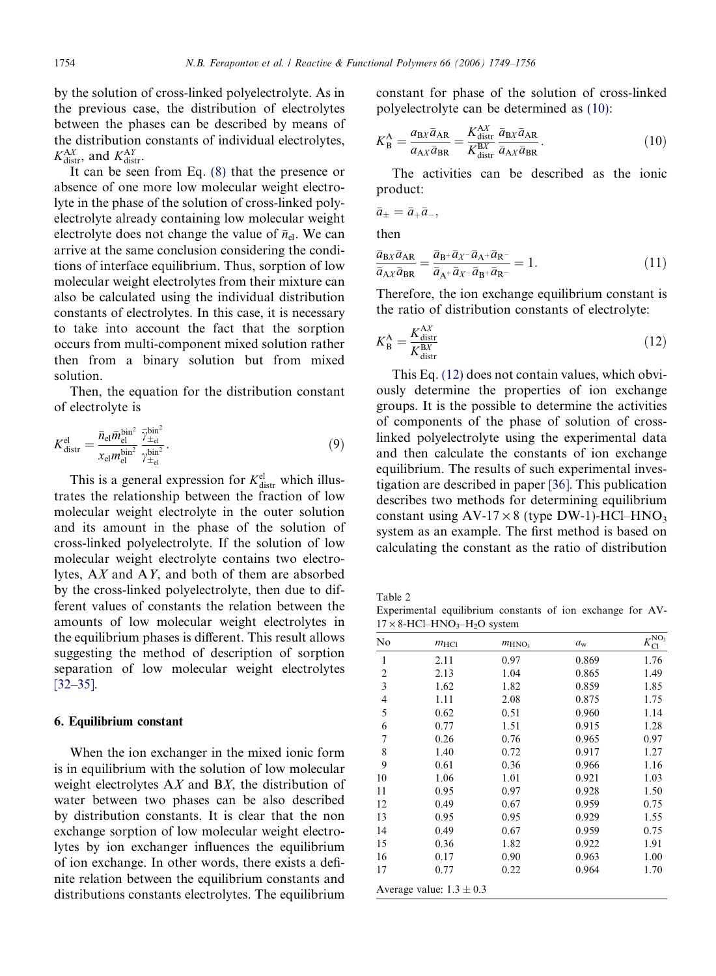<span id="page-5-0"></span>by the solution of cross-linked polyelectrolyte. As in the previous case, the distribution of electrolytes between the phases can be described by means of the distribution constants of individual electrolytes,  $K_{\text{distr}}^{\text{A}X}$ , and  $K_{\text{distr}}^{\text{A}Y}$ .

It can be seen from Eq. [\(8\)](#page-4-0) that the presence or absence of one more low molecular weight electrolyte in the phase of the solution of cross-linked polyelectrolyte already containing low molecular weight electrolyte does not change the value of  $\bar{n}_{el}$ . We can arrive at the same conclusion considering the conditions of interface equilibrium. Thus, sorption of low molecular weight electrolytes from their mixture can also be calculated using the individual distribution constants of electrolytes. In this case, it is necessary to take into account the fact that the sorption occurs from multi-component mixed solution rather then from a binary solution but from mixed solution.

Then, the equation for the distribution constant of electrolyte is

$$
K_{\text{distr}}^{\text{el}} = \frac{\bar{n}_{\text{el}} \bar{m}_{\text{el}}^{\text{bin}^2}}{x_{\text{el}} m_{\text{el}}^{\text{bin}^2}} \frac{\bar{\gamma}_{\pm_{\text{el}}}}{\gamma_{\pm_{\text{el}}^{\text{bin}^2}}}^{1.5}.
$$
\n(9)

This is a general expression for  $K_{\text{distr}}^{\text{el}}$  which illustrates the relationship between the fraction of low molecular weight electrolyte in the outer solution and its amount in the phase of the solution of cross-linked polyelectrolyte. If the solution of low molecular weight electrolyte contains two electrolytes, AX and AY, and both of them are absorbed by the cross-linked polyelectrolyte, then due to different values of constants the relation between the amounts of low molecular weight electrolytes in the equilibrium phases is different. This result allows suggesting the method of description of sorption separation of low molecular weight electrolytes [\[32–35\].](#page-7-0)

#### 6. Equilibrium constant

When the ion exchanger in the mixed ionic form is in equilibrium with the solution of low molecular weight electrolytes  $AX$  and  $BX$ , the distribution of water between two phases can be also described by distribution constants. It is clear that the non exchange sorption of low molecular weight electrolytes by ion exchanger influences the equilibrium of ion exchange. In other words, there exists a definite relation between the equilibrium constants and distributions constants electrolytes. The equilibrium

constant for phase of the solution of cross-linked polyelectrolyte can be determined as (10):

$$
K_{\rm B}^{\rm A} = \frac{a_{\rm BX}\bar{a}_{\rm AR}}{a_{\rm AX}\bar{a}_{\rm BR}} = \frac{K_{\rm distr}^{\rm AX}}{K_{\rm distr}^{\rm BX}} \frac{\bar{a}_{\rm BX}\bar{a}_{\rm AR}}{\bar{a}_{\rm AX}\bar{a}_{\rm BR}}.\tag{10}
$$

The activities can be described as the ionic product:

$$
\bar{a}_{\pm}=\bar{a}_{+}\bar{a}_{-},
$$

then

$$
\frac{\bar{a}_{\text{B}X}\bar{a}_{\text{AR}}}{\bar{a}_{\text{A}X}\bar{a}_{\text{BR}}} = \frac{\bar{a}_{\text{B}^+}\bar{a}_{X^-}\bar{a}_{\text{A}^+}\bar{a}_{\text{R}^-}}{\bar{a}_{\text{A}^+}\bar{a}_{X^-}\bar{a}_{\text{B}^+}\bar{a}_{\text{R}^-}} = 1.
$$
\n(11)

Therefore, the ion exchange equilibrium constant is the ratio of distribution constants of electrolyte:

$$
K_{\rm B}^{\rm A} = \frac{K_{\rm dist}^{\rm AX}}{K_{\rm dist}^{\rm BX}}\tag{12}
$$

This Eq. (12) does not contain values, which obviously determine the properties of ion exchange groups. It is the possible to determine the activities of components of the phase of solution of crosslinked polyelectrolyte using the experimental data and then calculate the constants of ion exchange equilibrium. The results of such experimental investigation are described in paper [\[36\].](#page-7-0) This publication describes two methods for determining equilibrium constant using  $AV-17 \times 8$  (type DW-1)-HCl–HNO<sub>3</sub> system as an example. The first method is based on calculating the constant as the ratio of distribution

Table 2

Experimental equilibrium constants of ion exchange for AV- $17 \times 8$ -HCl–HNO<sub>3</sub>–H<sub>2</sub>O system

| No                      | $m$ <sub>HCl</sub>           | $m_{\rm HNO_3}$ | $a_{\rm w}$ | $K^{\text{NO}_3}_{\text{}}$<br>C1 |
|-------------------------|------------------------------|-----------------|-------------|-----------------------------------|
| 1                       | 2.11                         | 0.97            | 0.869       | 1.76                              |
| $\overline{\mathbf{c}}$ | 2.13                         | 1.04            | 0.865       | 1.49                              |
| 3                       | 1.62                         | 1.82            | 0.859       | 1.85                              |
| 4                       | 1.11                         | 2.08            | 0.875       | 1.75                              |
| 5                       | 0.62                         | 0.51            | 0.960       | 1.14                              |
| 6                       | 0.77                         | 1.51            | 0.915       | 1.28                              |
| 7                       | 0.26                         | 0.76            | 0.965       | 0.97                              |
| 8                       | 1.40                         | 0.72            | 0.917       | 1.27                              |
| 9                       | 0.61                         | 0.36            | 0.966       | 1.16                              |
| 10                      | 1.06                         | 1.01            | 0.921       | 1.03                              |
| 11                      | 0.95                         | 0.97            | 0.928       | 1.50                              |
| 12                      | 0.49                         | 0.67            | 0.959       | 0.75                              |
| 13                      | 0.95                         | 0.95            | 0.929       | 1.55                              |
| 14                      | 0.49                         | 0.67            | 0.959       | 0.75                              |
| 15                      | 0.36                         | 1.82            | 0.922       | 1.91                              |
| 16                      | 0.17                         | 0.90            | 0.963       | 1.00                              |
| 17                      | 0.77                         | 0.22            | 0.964       | 1.70                              |
|                         | Average value: $1.3 \pm 0.3$ |                 |             |                                   |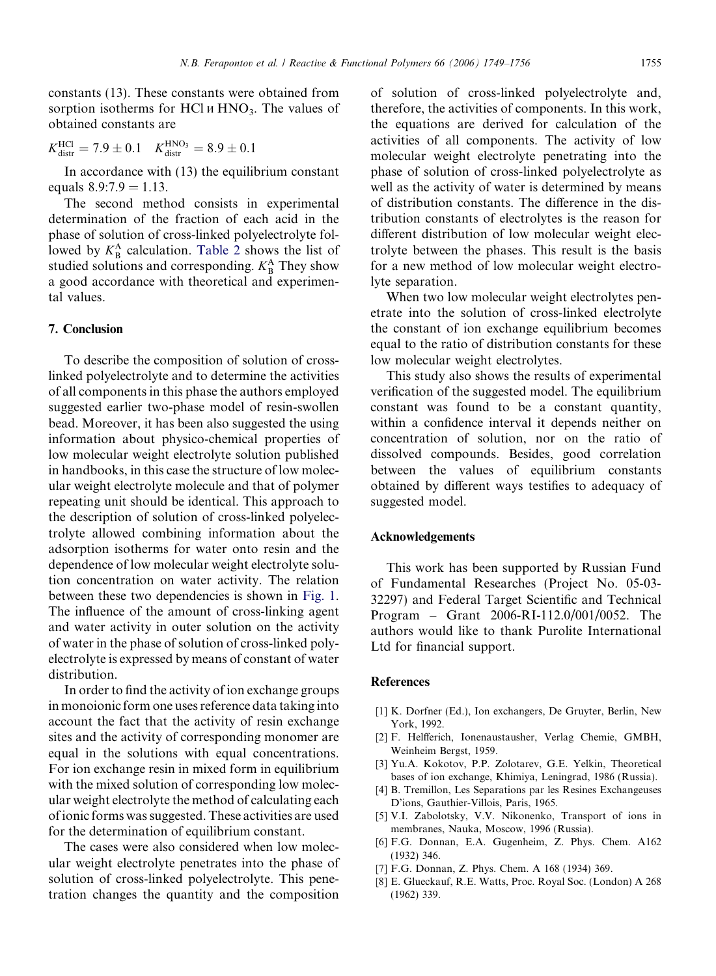<span id="page-6-0"></span>constants (13). These constants were obtained from sorption isotherms for HCl  $\mu$  HNO<sub>3</sub>. The values of obtained constants are

$$
K_{\text{distr}}^{\text{HC1}} = 7.9 \pm 0.1 \quad K_{\text{distr}}^{\text{HNO}_3} = 8.9 \pm 0.1
$$

In accordance with (13) the equilibrium constant equals  $8.9:7.9 = 1.13$ .

The second method consists in experimental determination of the fraction of each acid in the phase of solution of cross-linked polyelectrolyte followed by  $K_{\text{B}}^{\text{A}}$  calculation. [Table 2](#page-5-0) shows the list of studied solutions and corresponding.  $K<sub>B</sub><sup>A</sup>$  They show a good accordance with theoretical and experimental values.

#### 7. Conclusion

To describe the composition of solution of crosslinked polyelectrolyte and to determine the activities of all components in this phase the authors employed suggested earlier two-phase model of resin-swollen bead. Moreover, it has been also suggested the using information about physico-chemical properties of low molecular weight electrolyte solution published in handbooks, in this case the structure of low molecular weight electrolyte molecule and that of polymer repeating unit should be identical. This approach to the description of solution of cross-linked polyelectrolyte allowed combining information about the adsorption isotherms for water onto resin and the dependence of low molecular weight electrolyte solution concentration on water activity. The relation between these two dependencies is shown in [Fig. 1](#page-2-0). The influence of the amount of cross-linking agent and water activity in outer solution on the activity of water in the phase of solution of cross-linked polyelectrolyte is expressed by means of constant of water distribution.

In order to find the activity of ion exchange groups in monoionic form one uses reference data taking into account the fact that the activity of resin exchange sites and the activity of corresponding monomer are equal in the solutions with equal concentrations. For ion exchange resin in mixed form in equilibrium with the mixed solution of corresponding low molecular weight electrolyte the method of calculating each of ionic forms was suggested. These activities are used for the determination of equilibrium constant.

The cases were also considered when low molecular weight electrolyte penetrates into the phase of solution of cross-linked polyelectrolyte. This penetration changes the quantity and the composition of solution of cross-linked polyelectrolyte and, therefore, the activities of components. In this work, the equations are derived for calculation of the activities of all components. The activity of low molecular weight electrolyte penetrating into the phase of solution of cross-linked polyelectrolyte as well as the activity of water is determined by means of distribution constants. The difference in the distribution constants of electrolytes is the reason for different distribution of low molecular weight electrolyte between the phases. This result is the basis for a new method of low molecular weight electrolyte separation.

When two low molecular weight electrolytes penetrate into the solution of cross-linked electrolyte the constant of ion exchange equilibrium becomes equal to the ratio of distribution constants for these low molecular weight electrolytes.

This study also shows the results of experimental verification of the suggested model. The equilibrium constant was found to be a constant quantity, within a confidence interval it depends neither on concentration of solution, nor on the ratio of dissolved compounds. Besides, good correlation between the values of equilibrium constants obtained by different ways testifies to adequacy of suggested model.

#### Acknowledgements

This work has been supported by Russian Fund of Fundamental Researches (Project No. 05-03- 32297) and Federal Target Scientific and Technical Program – Grant 2006-RI-112.0/001/0052. The authors would like to thank Purolite International Ltd for financial support.

#### **References**

- [1] K. Dorfner (Ed.), Ion exchangers, De Gruyter, Berlin, New York, 1992.
- [2] F. Helfferich, Ionenaustausher, Verlag Chemie, GMBH, Weinheim Bergst, 1959.
- [3] Yu.A. Kokotov, P.P. Zolotarev, G.E. Yelkin, Theoretical bases of ion exchange, Khimiya, Leningrad, 1986 (Russia).
- [4] B. Tremillon, Les Separations par les Resines Exchangeuses D'ions, Gauthier-Villois, Paris, 1965.
- [5] V.I. Zabolotsky, V.V. Nikonenko, Transport of ions in membranes, Nauka, Moscow, 1996 (Russia).
- [6] F.G. Donnan, E.A. Gugenheim, Z. Phys. Chem. A162 (1932) 346.
- [7] F.G. Donnan, Z. Phys. Chem. A 168 (1934) 369.
- [8] E. Glueckauf, R.E. Watts, Proc. Royal Soc. (London) A 268 (1962) 339.